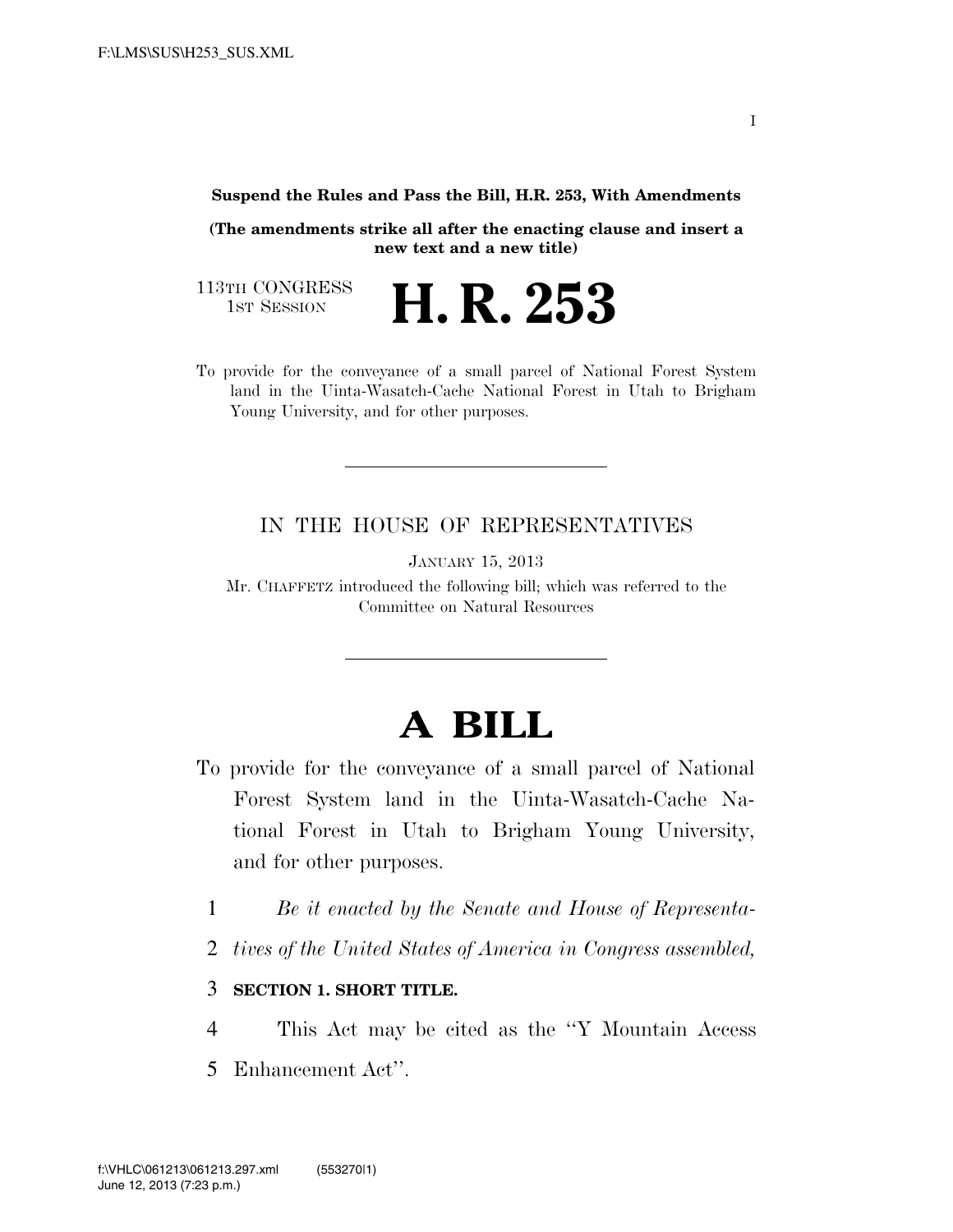**Suspend the Rules and Pass the Bill, H.R. 253, With Amendments** 

**(The amendments strike all after the enacting clause and insert a new text and a new title)** 

113TH CONGRESS<br>1st Session

H. R. 253

To provide for the conveyance of a small parcel of National Forest System land in the Uinta-Wasatch-Cache National Forest in Utah to Brigham Young University, and for other purposes.

## IN THE HOUSE OF REPRESENTATIVES

JANUARY 15, 2013

Mr. CHAFFETZ introduced the following bill; which was referred to the Committee on Natural Resources

## **A BILL**

- To provide for the conveyance of a small parcel of National Forest System land in the Uinta-Wasatch-Cache National Forest in Utah to Brigham Young University, and for other purposes.
	- 1 *Be it enacted by the Senate and House of Representa-*
	- 2 *tives of the United States of America in Congress assembled,*

## 3 **SECTION 1. SHORT TITLE.**

- 4 This Act may be cited as the ''Y Mountain Access
- 5 Enhancement Act''.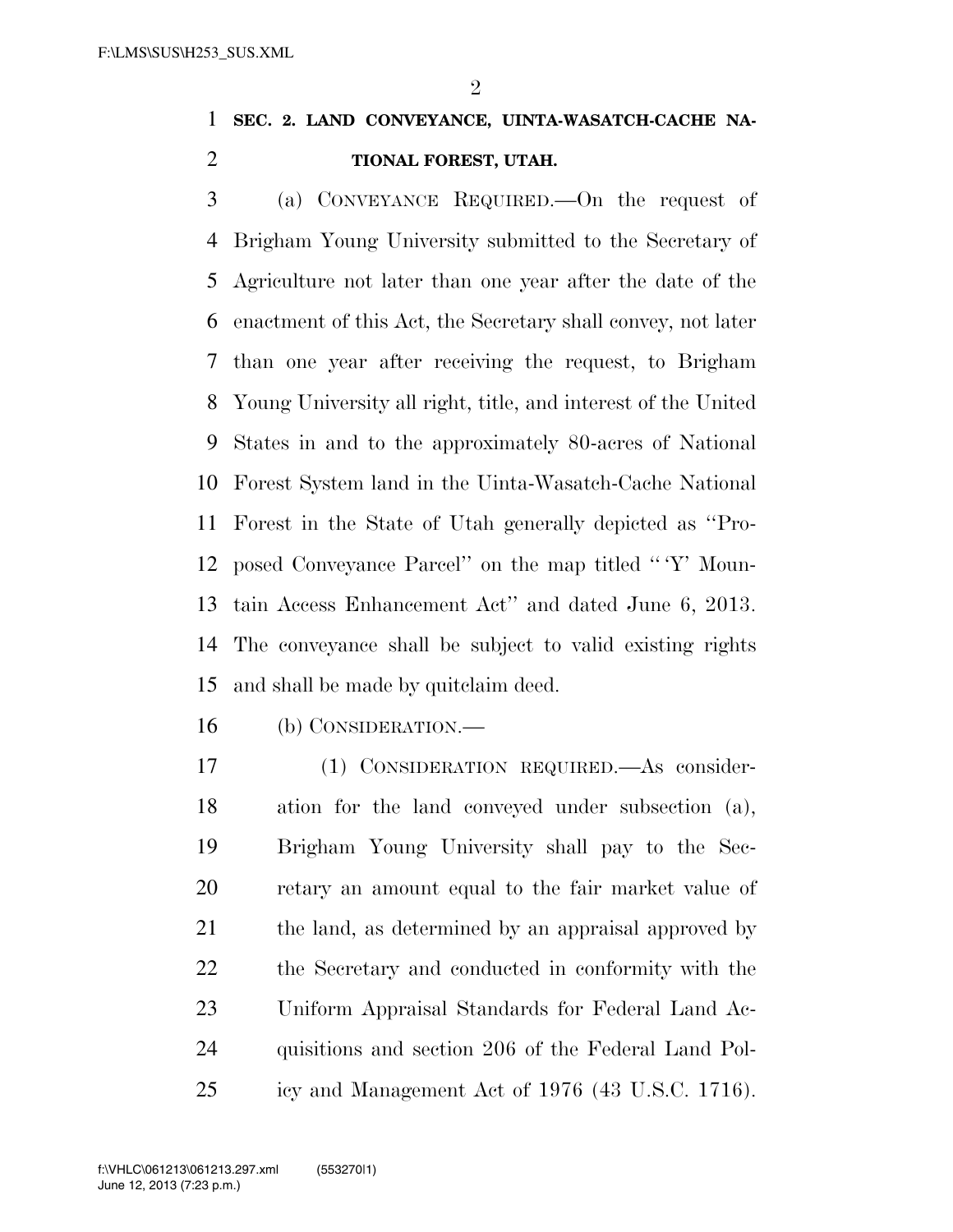$\mathfrak{D}$ 

## **SEC. 2. LAND CONVEYANCE, UINTA-WASATCH-CACHE NA-TIONAL FOREST, UTAH.**

 (a) CONVEYANCE REQUIRED.—On the request of Brigham Young University submitted to the Secretary of Agriculture not later than one year after the date of the enactment of this Act, the Secretary shall convey, not later than one year after receiving the request, to Brigham Young University all right, title, and interest of the United States in and to the approximately 80-acres of National Forest System land in the Uinta-Wasatch-Cache National Forest in the State of Utah generally depicted as ''Pro- posed Conveyance Parcel'' on the map titled '' 'Y' Moun- tain Access Enhancement Act'' and dated June 6, 2013. The conveyance shall be subject to valid existing rights and shall be made by quitclaim deed.

(b) CONSIDERATION.—

 (1) CONSIDERATION REQUIRED.—As consider- ation for the land conveyed under subsection (a), Brigham Young University shall pay to the Sec- retary an amount equal to the fair market value of the land, as determined by an appraisal approved by the Secretary and conducted in conformity with the Uniform Appraisal Standards for Federal Land Ac- quisitions and section 206 of the Federal Land Pol-icy and Management Act of 1976 (43 U.S.C. 1716).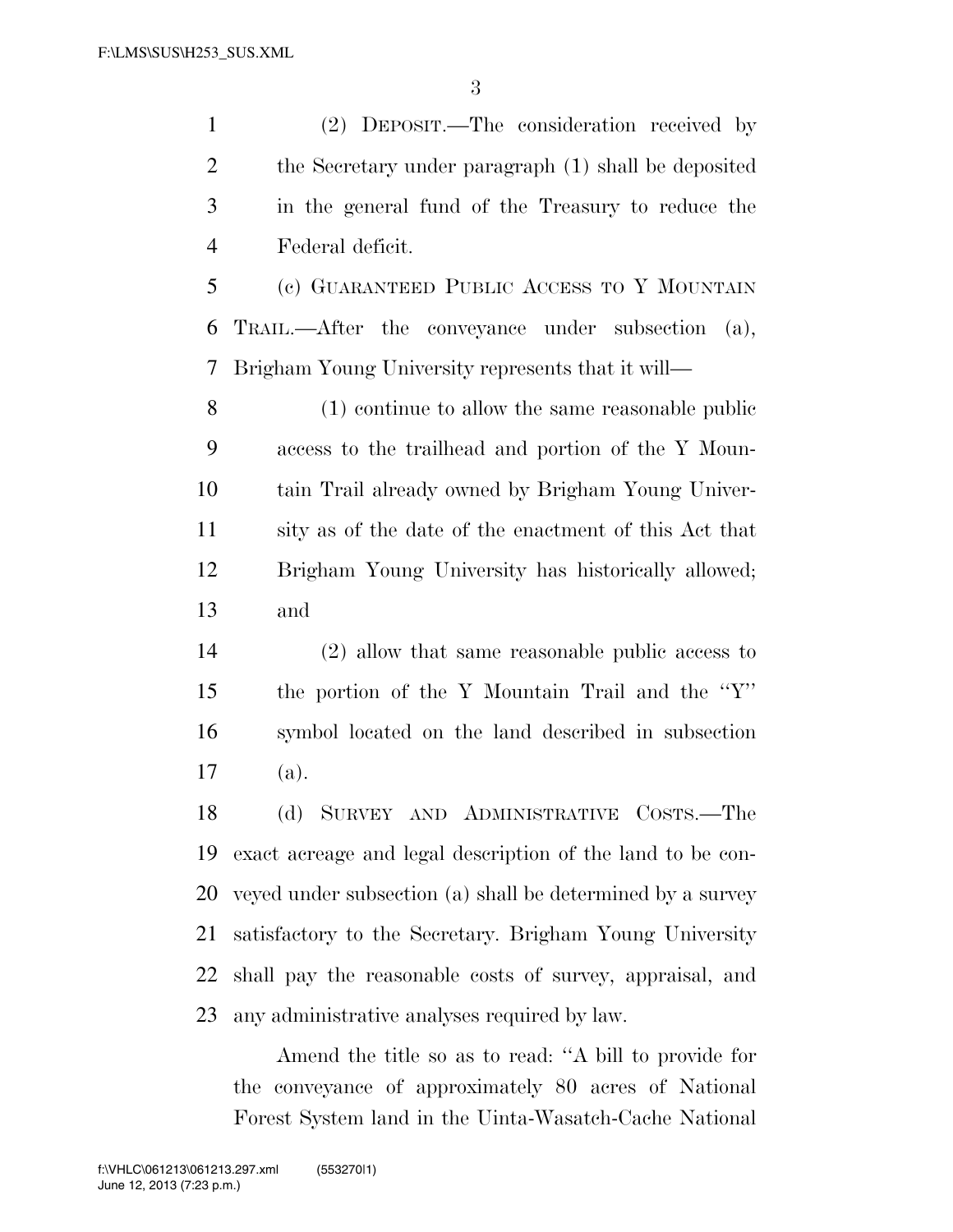(2) DEPOSIT.—The consideration received by the Secretary under paragraph (1) shall be deposited in the general fund of the Treasury to reduce the Federal deficit.

 (c) GUARANTEED PUBLIC ACCESS TO Y MOUNTAIN TRAIL.—After the conveyance under subsection (a), Brigham Young University represents that it will—

 (1) continue to allow the same reasonable public access to the trailhead and portion of the Y Moun- tain Trail already owned by Brigham Young Univer- sity as of the date of the enactment of this Act that Brigham Young University has historically allowed; and

 (2) allow that same reasonable public access to the portion of the Y Mountain Trail and the ''Y'' symbol located on the land described in subsection (a).

 (d) SURVEY AND ADMINISTRATIVE COSTS.—The exact acreage and legal description of the land to be con- veyed under subsection (a) shall be determined by a survey satisfactory to the Secretary. Brigham Young University shall pay the reasonable costs of survey, appraisal, and any administrative analyses required by law.

Amend the title so as to read: ''A bill to provide for the conveyance of approximately 80 acres of National Forest System land in the Uinta-Wasatch-Cache National